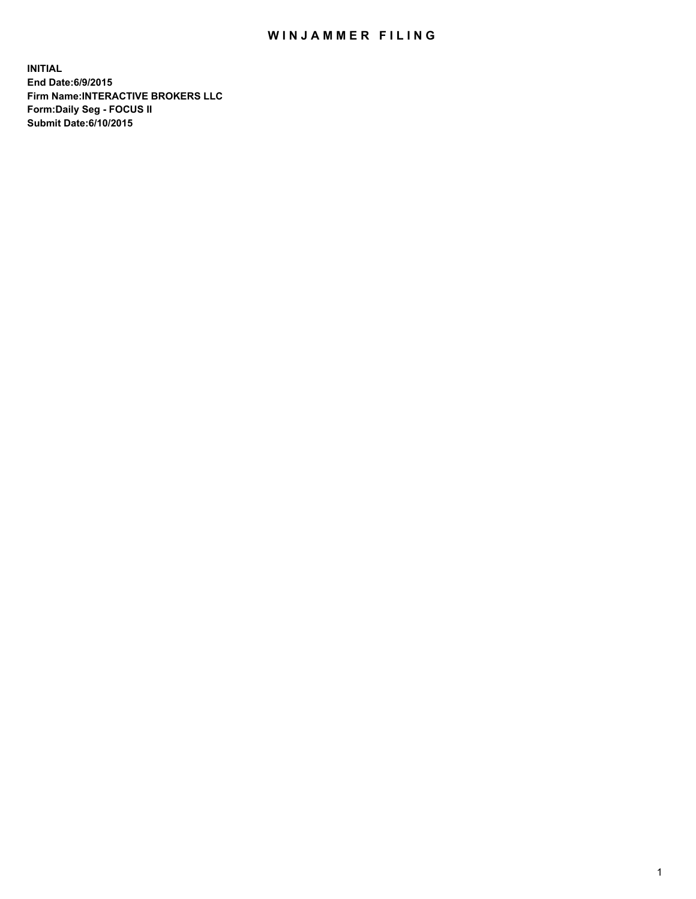## WIN JAMMER FILING

**INITIAL End Date:6/9/2015 Firm Name:INTERACTIVE BROKERS LLC Form:Daily Seg - FOCUS II Submit Date:6/10/2015**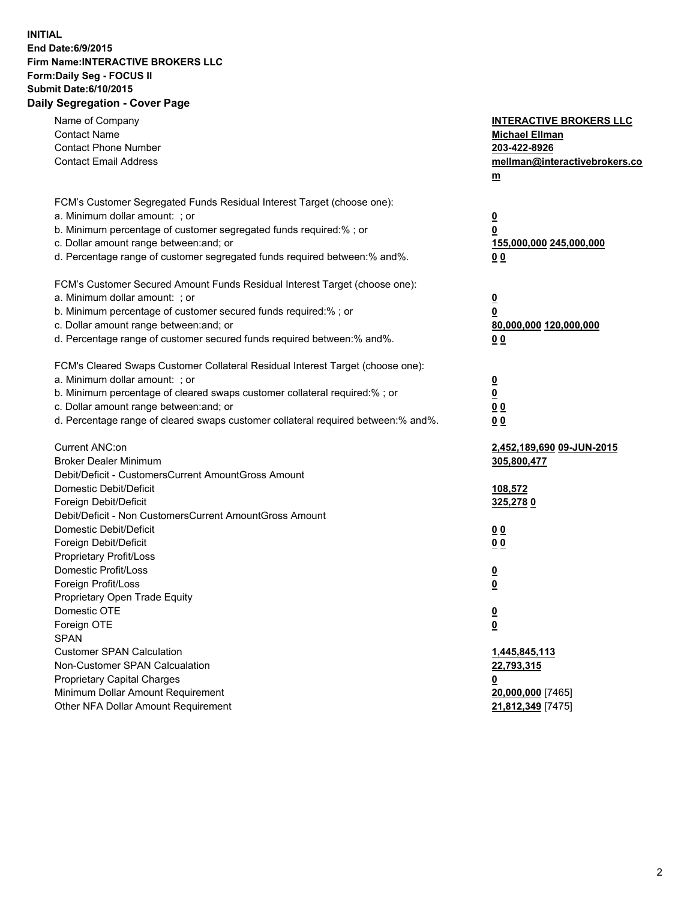## **INITIAL End Date:6/9/2015 Firm Name:INTERACTIVE BROKERS LLC Form:Daily Seg - FOCUS II Submit Date:6/10/2015 Daily Segregation - Cover Page**

| Name of Company                                                                   | <b>INTERACTIVE BROKERS LLC</b> |
|-----------------------------------------------------------------------------------|--------------------------------|
| <b>Contact Name</b>                                                               | <b>Michael Ellman</b>          |
| <b>Contact Phone Number</b>                                                       | 203-422-8926                   |
| <b>Contact Email Address</b>                                                      | mellman@interactivebrokers.co  |
|                                                                                   | $m$                            |
|                                                                                   |                                |
| FCM's Customer Segregated Funds Residual Interest Target (choose one):            |                                |
| a. Minimum dollar amount: ; or                                                    | $\overline{\mathbf{0}}$        |
| b. Minimum percentage of customer segregated funds required:% ; or                | 0                              |
| c. Dollar amount range between: and; or                                           | 155,000,000 245,000,000        |
| d. Percentage range of customer segregated funds required between:% and%.         | 0 <sub>0</sub>                 |
| FCM's Customer Secured Amount Funds Residual Interest Target (choose one):        |                                |
| a. Minimum dollar amount: ; or                                                    | $\overline{\mathbf{0}}$        |
| b. Minimum percentage of customer secured funds required:% ; or                   | 0                              |
| c. Dollar amount range between: and; or                                           | 80,000,000 120,000,000         |
| d. Percentage range of customer secured funds required between:% and%.            | 0 <sub>0</sub>                 |
|                                                                                   |                                |
| FCM's Cleared Swaps Customer Collateral Residual Interest Target (choose one):    |                                |
| a. Minimum dollar amount: ; or                                                    | $\overline{\mathbf{0}}$        |
| b. Minimum percentage of cleared swaps customer collateral required:% ; or        | $\overline{\mathbf{0}}$        |
| c. Dollar amount range between: and; or                                           | 0 <sub>0</sub>                 |
| d. Percentage range of cleared swaps customer collateral required between:% and%. | 0 <sub>0</sub>                 |
|                                                                                   |                                |
| Current ANC:on                                                                    | 2,452,189,690 09-JUN-2015      |
| <b>Broker Dealer Minimum</b>                                                      | 305,800,477                    |
| Debit/Deficit - CustomersCurrent AmountGross Amount                               |                                |
| Domestic Debit/Deficit                                                            | 108,572                        |
| Foreign Debit/Deficit<br>Debit/Deficit - Non CustomersCurrent AmountGross Amount  | 325,2780                       |
| Domestic Debit/Deficit                                                            | 0 <sub>0</sub>                 |
| Foreign Debit/Deficit                                                             | 0 <sub>0</sub>                 |
| Proprietary Profit/Loss                                                           |                                |
| Domestic Profit/Loss                                                              | <u>0</u>                       |
| Foreign Profit/Loss                                                               | $\overline{\mathbf{0}}$        |
| Proprietary Open Trade Equity                                                     |                                |
| Domestic OTE                                                                      | <u>0</u>                       |
| Foreign OTE                                                                       | <u>0</u>                       |
| <b>SPAN</b>                                                                       |                                |
| <b>Customer SPAN Calculation</b>                                                  | 1,445,845,113                  |
| Non-Customer SPAN Calcualation                                                    | 22,793,315                     |
| <b>Proprietary Capital Charges</b>                                                | <u>0</u>                       |
| Minimum Dollar Amount Requirement                                                 | 20,000,000 [7465]              |
| Other NFA Dollar Amount Requirement                                               | 21,812,349 [7475]              |
|                                                                                   |                                |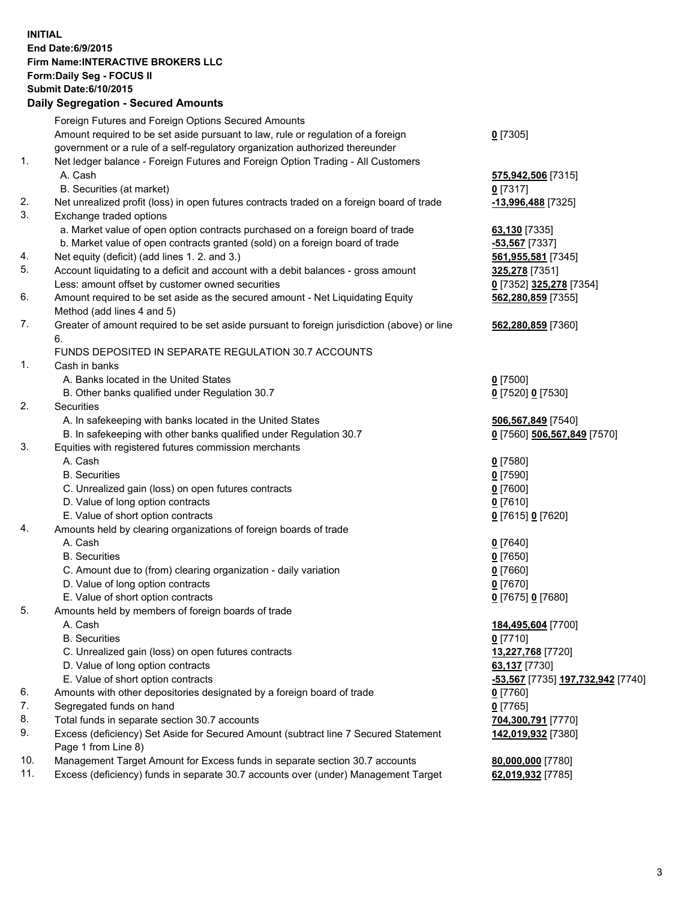## **INITIAL End Date:6/9/2015 Firm Name:INTERACTIVE BROKERS LLC Form:Daily Seg - FOCUS II Submit Date:6/10/2015 Daily Segregation - Secured Amounts**

|     | Foreign Futures and Foreign Options Secured Amounts                                         |                                   |
|-----|---------------------------------------------------------------------------------------------|-----------------------------------|
|     | Amount required to be set aside pursuant to law, rule or regulation of a foreign            | $Q$ [7305]                        |
|     | government or a rule of a self-regulatory organization authorized thereunder                |                                   |
| 1.  | Net ledger balance - Foreign Futures and Foreign Option Trading - All Customers             |                                   |
|     | A. Cash                                                                                     | 575,942,506 [7315]                |
|     | B. Securities (at market)                                                                   | $0$ [7317]                        |
| 2.  | Net unrealized profit (loss) in open futures contracts traded on a foreign board of trade   | -13,996,488 [7325]                |
| 3.  | Exchange traded options                                                                     |                                   |
|     | a. Market value of open option contracts purchased on a foreign board of trade              | 63,130 [7335]                     |
|     | b. Market value of open contracts granted (sold) on a foreign board of trade                | -53,567 [7337]                    |
| 4.  | Net equity (deficit) (add lines 1. 2. and 3.)                                               | 561,955,581 [7345]                |
| 5.  | Account liquidating to a deficit and account with a debit balances - gross amount           | 325,278 [7351]                    |
|     | Less: amount offset by customer owned securities                                            | 0 [7352] 325,278 [7354]           |
| 6.  | Amount required to be set aside as the secured amount - Net Liquidating Equity              | 562,280,859 [7355]                |
|     | Method (add lines 4 and 5)                                                                  |                                   |
| 7.  | Greater of amount required to be set aside pursuant to foreign jurisdiction (above) or line | 562,280,859 [7360]                |
|     | 6.                                                                                          |                                   |
|     | FUNDS DEPOSITED IN SEPARATE REGULATION 30.7 ACCOUNTS                                        |                                   |
| 1.  | Cash in banks                                                                               |                                   |
|     | A. Banks located in the United States                                                       |                                   |
|     |                                                                                             | $0$ [7500]                        |
| 2.  | B. Other banks qualified under Regulation 30.7                                              | 0 [7520] 0 [7530]                 |
|     | Securities                                                                                  |                                   |
|     | A. In safekeeping with banks located in the United States                                   | 506,567,849 [7540]                |
|     | B. In safekeeping with other banks qualified under Regulation 30.7                          | 0 [7560] 506,567,849 [7570]       |
| 3.  | Equities with registered futures commission merchants                                       |                                   |
|     | A. Cash                                                                                     | $0$ [7580]                        |
|     | <b>B.</b> Securities                                                                        | $0$ [7590]                        |
|     | C. Unrealized gain (loss) on open futures contracts                                         | $0$ [7600]                        |
|     | D. Value of long option contracts                                                           | $0$ [7610]                        |
|     | E. Value of short option contracts                                                          | 0 [7615] 0 [7620]                 |
| 4.  | Amounts held by clearing organizations of foreign boards of trade                           |                                   |
|     | A. Cash                                                                                     | $0$ [7640]                        |
|     | <b>B.</b> Securities                                                                        | $0$ [7650]                        |
|     | C. Amount due to (from) clearing organization - daily variation                             | $0$ [7660]                        |
|     | D. Value of long option contracts                                                           | $0$ [7670]                        |
|     | E. Value of short option contracts                                                          | 0 [7675] 0 [7680]                 |
| 5.  | Amounts held by members of foreign boards of trade                                          |                                   |
|     | A. Cash                                                                                     | 184,495,604 [7700]                |
|     | <b>B.</b> Securities                                                                        | $0$ [7710]                        |
|     | C. Unrealized gain (loss) on open futures contracts                                         | 13,227,768 [7720]                 |
|     | D. Value of long option contracts                                                           | 63,137 [7730]                     |
|     | E. Value of short option contracts                                                          | -53,567 [7735] 197,732,942 [7740] |
| 6.  | Amounts with other depositories designated by a foreign board of trade                      | $0$ [7760]                        |
| 7.  | Segregated funds on hand                                                                    | $0$ [7765]                        |
| 8.  | Total funds in separate section 30.7 accounts                                               | 704,300,791 [7770]                |
| 9.  | Excess (deficiency) Set Aside for Secured Amount (subtract line 7 Secured Statement         | 142,019,932 [7380]                |
|     | Page 1 from Line 8)                                                                         |                                   |
| 10. | Management Target Amount for Excess funds in separate section 30.7 accounts                 | 80,000,000 [7780]                 |
| 11. | Excess (deficiency) funds in separate 30.7 accounts over (under) Management Target          | 62,019,932 [7785]                 |
|     |                                                                                             |                                   |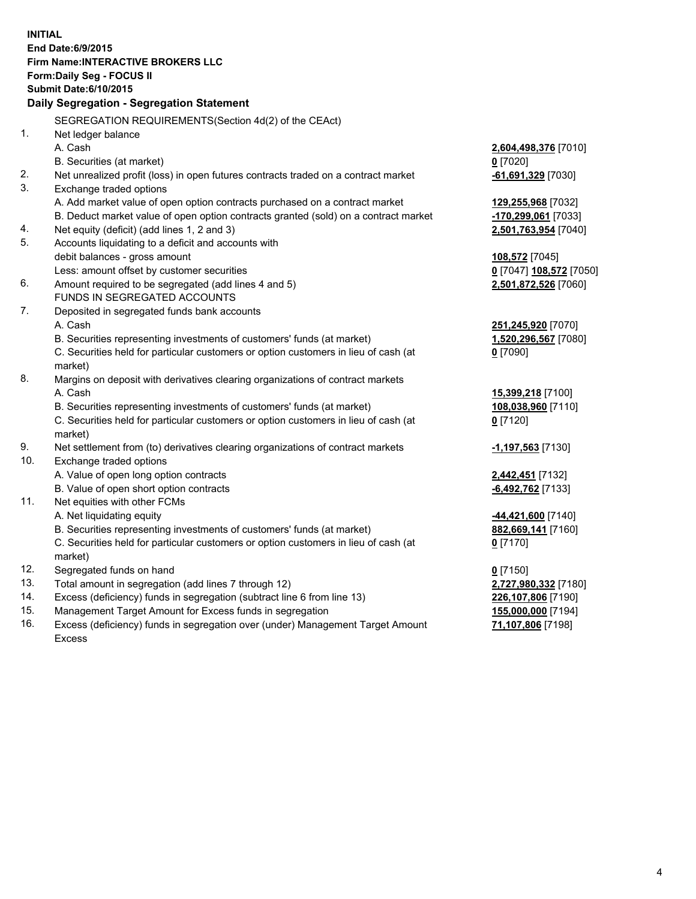**INITIAL End Date:6/9/2015 Firm Name:INTERACTIVE BROKERS LLC Form:Daily Seg - FOCUS II Submit Date:6/10/2015 Daily Segregation - Segregation Statement** SEGREGATION REQUIREMENTS(Section 4d(2) of the CEAct) 1. Net ledger balance A. Cash **2,604,498,376** [7010] B. Securities (at market) **0** [7020] 2. Net unrealized profit (loss) in open futures contracts traded on a contract market **-61,691,329** [7030] 3. Exchange traded options A. Add market value of open option contracts purchased on a contract market **129,255,968** [7032] B. Deduct market value of open option contracts granted (sold) on a contract market **-170,299,061** [7033] 4. Net equity (deficit) (add lines 1, 2 and 3) **2,501,763,954** [7040] 5. Accounts liquidating to a deficit and accounts with debit balances - gross amount **108,572** [7045] Less: amount offset by customer securities **0** [7047] **108,572** [7050] 6. Amount required to be segregated (add lines 4 and 5) **2,501,872,526** [7060] FUNDS IN SEGREGATED ACCOUNTS 7. Deposited in segregated funds bank accounts A. Cash **251,245,920** [7070] B. Securities representing investments of customers' funds (at market) **1,520,296,567** [7080] C. Securities held for particular customers or option customers in lieu of cash (at market) **0** [7090] 8. Margins on deposit with derivatives clearing organizations of contract markets A. Cash **15,399,218** [7100] B. Securities representing investments of customers' funds (at market) **108,038,960** [7110] C. Securities held for particular customers or option customers in lieu of cash (at market) **0** [7120] 9. Net settlement from (to) derivatives clearing organizations of contract markets **-1,197,563** [7130] 10. Exchange traded options A. Value of open long option contracts **2,442,451** [7132] B. Value of open short option contracts **-6,492,762** [7133] 11. Net equities with other FCMs A. Net liquidating equity **-44,421,600** [7140] B. Securities representing investments of customers' funds (at market) **882,669,141** [7160] C. Securities held for particular customers or option customers in lieu of cash (at market) **0** [7170] 12. Segregated funds on hand **0** [7150] 13. Total amount in segregation (add lines 7 through 12) **2,727,980,332** [7180] 14. Excess (deficiency) funds in segregation (subtract line 6 from line 13) **226,107,806** [7190] 15. Management Target Amount for Excess funds in segregation **155,000,000** [7194]

16. Excess (deficiency) funds in segregation over (under) Management Target Amount Excess

**71,107,806** [7198]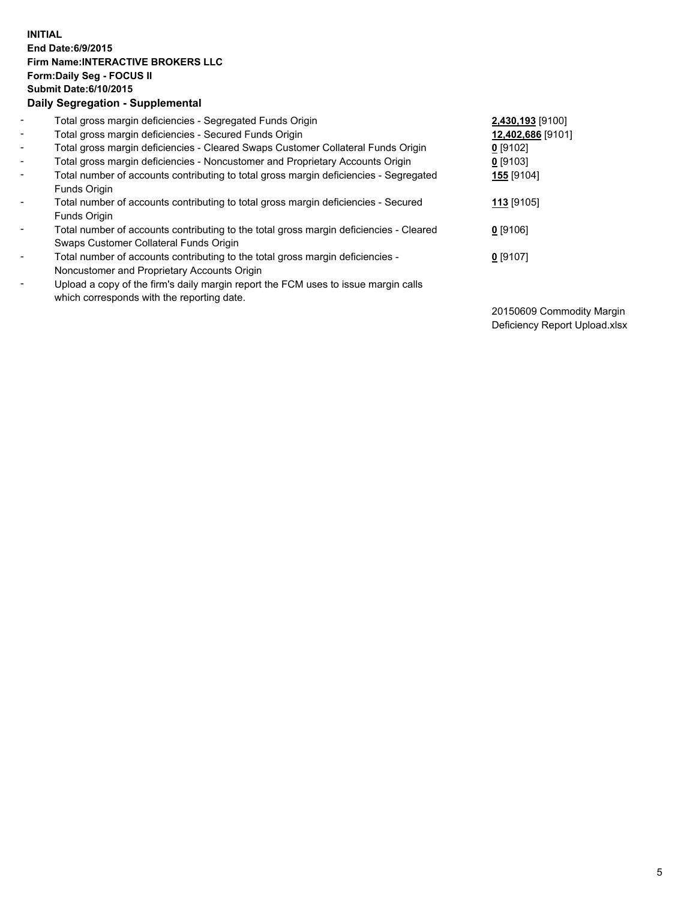## **INITIAL End Date:6/9/2015 Firm Name:INTERACTIVE BROKERS LLC Form:Daily Seg - FOCUS II Submit Date:6/10/2015 Daily Segregation - Supplemental**

| $\sim$                   | Total gross margin deficiencies - Segregated Funds Origin                                                                        | 2,430,193 [9100]  |
|--------------------------|----------------------------------------------------------------------------------------------------------------------------------|-------------------|
| $\overline{\phantom{a}}$ | Total gross margin deficiencies - Secured Funds Origin                                                                           | 12,402,686 [9101] |
| $\sim$                   | Total gross margin deficiencies - Cleared Swaps Customer Collateral Funds Origin                                                 | $0$ [9102]        |
| $\overline{\phantom{a}}$ | Total gross margin deficiencies - Noncustomer and Proprietary Accounts Origin                                                    | $0$ [9103]        |
| $\overline{\phantom{a}}$ | Total number of accounts contributing to total gross margin deficiencies - Segregated<br>Funds Origin                            | <b>155</b> [9104] |
| $\overline{\phantom{a}}$ | Total number of accounts contributing to total gross margin deficiencies - Secured<br>Funds Origin                               | 113 [9105]        |
| $\blacksquare$           | Total number of accounts contributing to the total gross margin deficiencies - Cleared<br>Swaps Customer Collateral Funds Origin | $0$ [9106]        |
| $\blacksquare$           | Total number of accounts contributing to the total gross margin deficiencies -<br>Noncustomer and Proprietary Accounts Origin    | $0$ [9107]        |
| $\overline{\phantom{a}}$ | Upload a copy of the firm's daily margin report the FCM uses to issue margin calls<br>which corresponds with the reporting date. |                   |

20150609 Commodity Margin Deficiency Report Upload.xlsx